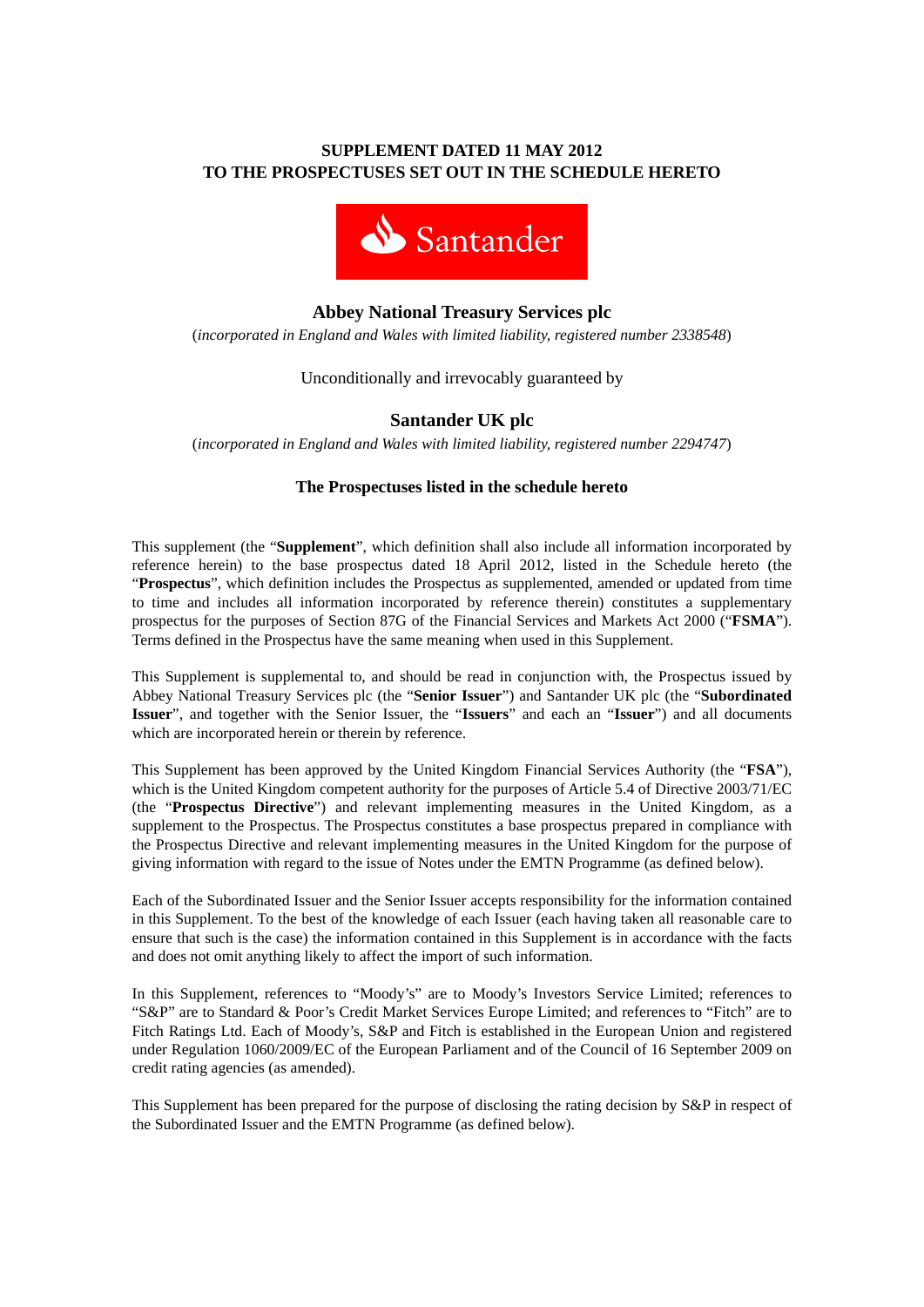# **SUPPLEMENT DATED 11 MAY 2012 TO THE PROSPECTUSES SET OUT IN THE SCHEDULE HERETO**



## **Abbey National Treasury Services plc**

(*incorporated in England and Wales with limited liability, registered number 2338548*)

Unconditionally and irrevocably guaranteed by

### **Santander UK plc**

(*incorporated in England and Wales with limited liability, registered number 2294747*)

#### **The Prospectuses listed in the schedule hereto**

This supplement (the "**Supplement**", which definition shall also include all information incorporated by reference herein) to the base prospectus dated 18 April 2012, listed in the Schedule hereto (the "**Prospectus**", which definition includes the Prospectus as supplemented, amended or updated from time to time and includes all information incorporated by reference therein) constitutes a supplementary prospectus for the purposes of Section 87G of the Financial Services and Markets Act 2000 ("**FSMA**"). Terms defined in the Prospectus have the same meaning when used in this Supplement.

This Supplement is supplemental to, and should be read in conjunction with, the Prospectus issued by Abbey National Treasury Services plc (the "**Senior Issuer**") and Santander UK plc (the "**Subordinated Issuer**", and together with the Senior Issuer, the "**Issuers**" and each an "**Issuer**") and all documents which are incorporated herein or therein by reference.

This Supplement has been approved by the United Kingdom Financial Services Authority (the "**FSA**"), which is the United Kingdom competent authority for the purposes of Article 5.4 of Directive 2003/71/EC (the "**Prospectus Directive**") and relevant implementing measures in the United Kingdom, as a supplement to the Prospectus. The Prospectus constitutes a base prospectus prepared in compliance with the Prospectus Directive and relevant implementing measures in the United Kingdom for the purpose of giving information with regard to the issue of Notes under the EMTN Programme (as defined below).

Each of the Subordinated Issuer and the Senior Issuer accepts responsibility for the information contained in this Supplement. To the best of the knowledge of each Issuer (each having taken all reasonable care to ensure that such is the case) the information contained in this Supplement is in accordance with the facts and does not omit anything likely to affect the import of such information.

In this Supplement, references to "Moody's" are to Moody's Investors Service Limited; references to "S&P" are to Standard & Poor's Credit Market Services Europe Limited; and references to "Fitch" are to Fitch Ratings Ltd. Each of Moody's, S&P and Fitch is established in the European Union and registered under Regulation 1060/2009/EC of the European Parliament and of the Council of 16 September 2009 on credit rating agencies (as amended).

This Supplement has been prepared for the purpose of disclosing the rating decision by S&P in respect of the Subordinated Issuer and the EMTN Programme (as defined below).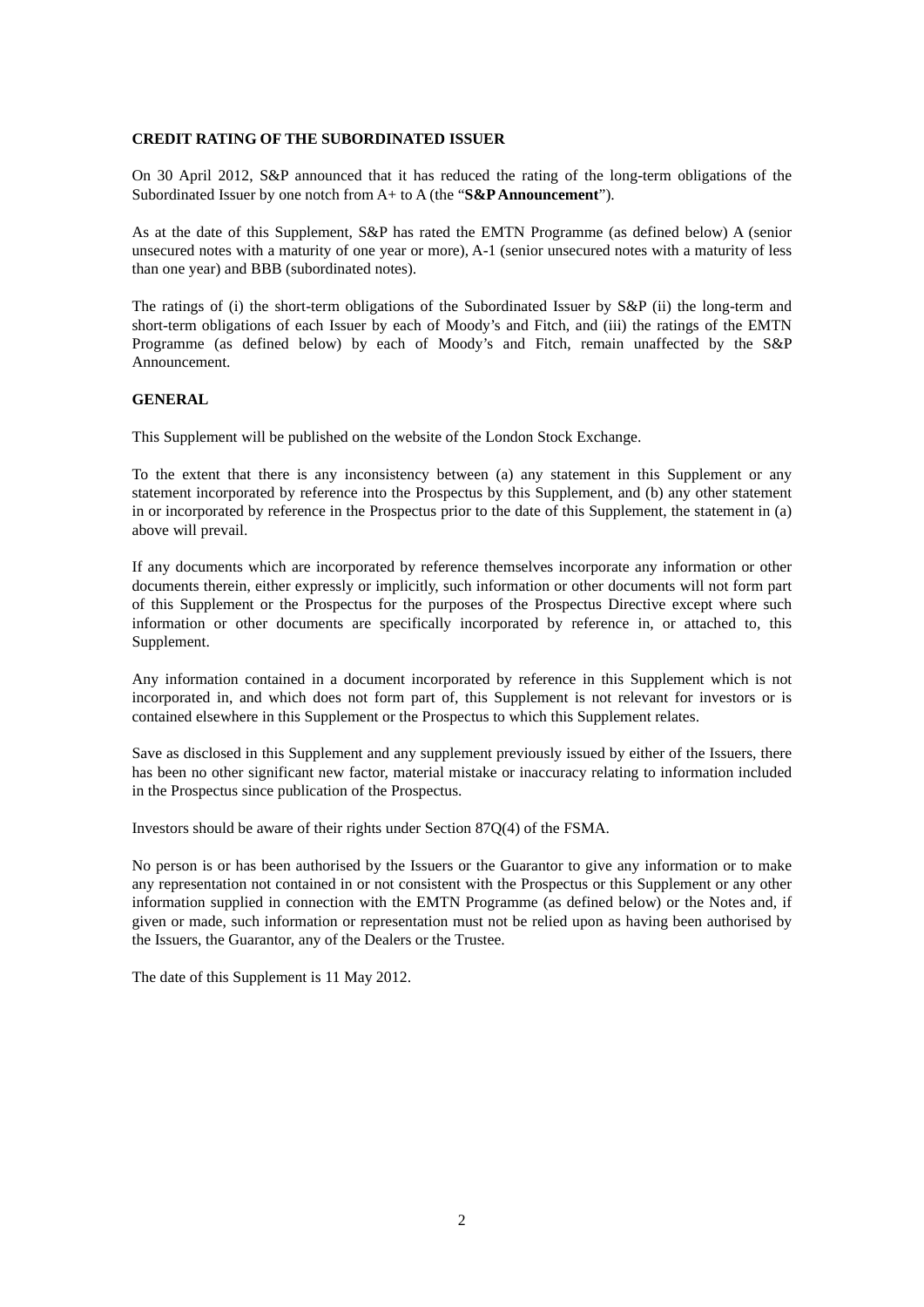#### **CREDIT RATING OF THE SUBORDINATED ISSUER**

On 30 April 2012, S&P announced that it has reduced the rating of the long-term obligations of the Subordinated Issuer by one notch from A+ to A (the "**S&PAnnouncement**").

As at the date of this Supplement, S&P has rated the EMTN Programme (as defined below) A (senior unsecured notes with a maturity of one year or more), A-1 (senior unsecured notes with a maturity of less than one year) and BBB (subordinated notes).

The ratings of (i) the short-term obligations of the Subordinated Issuer by S&P (ii) the long-term and short-term obligations of each Issuer by each of Moody's and Fitch, and (iii) the ratings of the EMTN Programme (as defined below) by each of Moody's and Fitch, remain unaffected by the S&P Announcement.

#### **GENERAL**

This Supplement will be published on the website of the London Stock Exchange.

To the extent that there is any inconsistency between (a) any statement in this Supplement or any statement incorporated by reference into the Prospectus by this Supplement, and (b) any other statement in or incorporated by reference in the Prospectus prior to the date of this Supplement, the statement in (a) above will prevail.

If any documents which are incorporated by reference themselves incorporate any information or other documents therein, either expressly or implicitly, such information or other documents will not form part of this Supplement or the Prospectus for the purposes of the Prospectus Directive except where such information or other documents are specifically incorporated by reference in, or attached to, this Supplement.

Any information contained in a document incorporated by reference in this Supplement which is not incorporated in, and which does not form part of, this Supplement is not relevant for investors or is contained elsewhere in this Supplement or the Prospectus to which this Supplement relates.

Save as disclosed in this Supplement and any supplement previously issued by either of the Issuers, there has been no other significant new factor, material mistake or inaccuracy relating to information included in the Prospectus since publication of the Prospectus.

Investors should be aware of their rights under Section 87Q(4) of the FSMA.

No person is or has been authorised by the Issuers or the Guarantor to give any information or to make any representation not contained in or not consistent with the Prospectus or this Supplement or any other information supplied in connection with the EMTN Programme (as defined below) or the Notes and, if given or made, such information or representation must not be relied upon as having been authorised by the Issuers, the Guarantor, any of the Dealers or the Trustee.

The date of this Supplement is 11 May 2012.